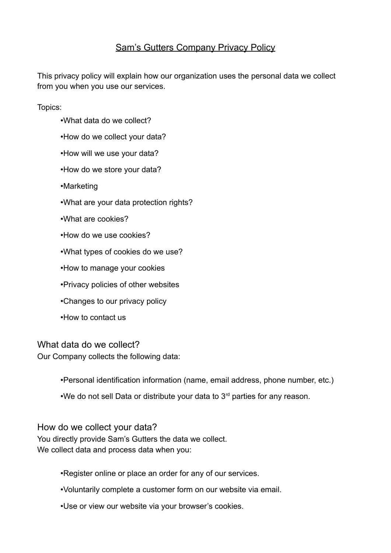# **Sam's Gutters Company Privacy Policy**

This privacy policy will explain how our organization uses the personal data we collect from you when you use our services.

Topics:

- •What data do we collect?
- •How do we collect your data?
- •How will we use your data?
- •How do we store your data?
- •Marketing
- •What are your data protection rights?
- •What are cookies?
- •How do we use cookies?
- •What types of cookies do we use?
- •How to manage your cookies
- •Privacy policies of other websites
- •Changes to our privacy policy
- •How to contact us

What data do we collect?

Our Company collects the following data:

•Personal identification information (name, email address, phone number, etc.)

•We do not sell Data or distribute your data to 3<sup>rd</sup> parties for any reason.

How do we collect your data?

You directly provide Sam's Gutters the data we collect. We collect data and process data when you:

•Register online or place an order for any of our services.

- •Voluntarily complete a customer form on our website via email.
- •Use or view our website via your browser's cookies.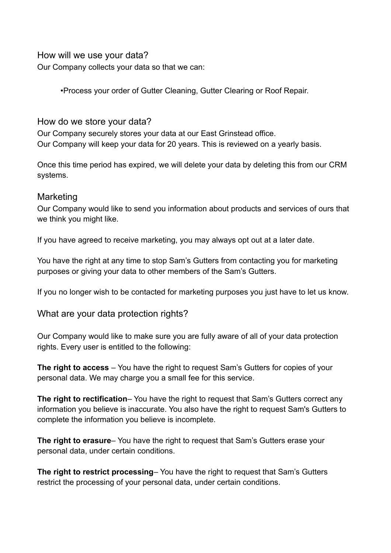How will we use your data?

Our Company collects your data so that we can:

•Process your order of Gutter Cleaning, Gutter Clearing or Roof Repair.

## How do we store your data?

Our Company securely stores your data at our East Grinstead office. Our Company will keep your data for 20 years. This is reviewed on a yearly basis.

Once this time period has expired, we will delete your data by deleting this from our CRM systems.

### **Marketing**

Our Company would like to send you information about products and services of ours that we think you might like.

If you have agreed to receive marketing, you may always opt out at a later date.

You have the right at any time to stop Sam's Gutters from contacting you for marketing purposes or giving your data to other members of the Sam's Gutters.

If you no longer wish to be contacted for marketing purposes you just have to let us know.

What are your data protection rights?

Our Company would like to make sure you are fully aware of all of your data protection rights. Every user is entitled to the following:

**The right to access** – You have the right to request Sam's Gutters for copies of your personal data. We may charge you a small fee for this service.

**The right to rectification**– You have the right to request that Sam's Gutters correct any information you believe is inaccurate. You also have the right to request Sam's Gutters to complete the information you believe is incomplete.

**The right to erasure**– You have the right to request that Sam's Gutters erase your personal data, under certain conditions.

**The right to restrict processing**– You have the right to request that Sam's Gutters restrict the processing of your personal data, under certain conditions.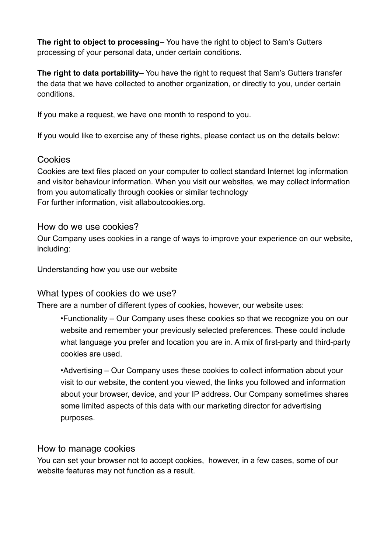**The right to object to processing**– You have the right to object to Sam's Gutters processing of your personal data, under certain conditions.

**The right to data portability**– You have the right to request that Sam's Gutters transfer the data that we have collected to another organization, or directly to you, under certain conditions.

If you make a request, we have one month to respond to you.

If you would like to exercise any of these rights, please contact us on the details below:

### Cookies

Cookies are text files placed on your computer to collect standard Internet log information and visitor behaviour information. When you visit our websites, we may collect information from you automatically through cookies or similar technology For further information, visit allaboutcookies.org.

### How do we use cookies?

Our Company uses cookies in a range of ways to improve your experience on our website, including:

Understanding how you use our website

## What types of cookies do we use?

There are a number of different types of cookies, however, our website uses:

•Functionality – Our Company uses these cookies so that we recognize you on our website and remember your previously selected preferences. These could include what language you prefer and location you are in. A mix of first-party and third-party cookies are used.

•Advertising – Our Company uses these cookies to collect information about your visit to our website, the content you viewed, the links you followed and information about your browser, device, and your IP address. Our Company sometimes shares some limited aspects of this data with our marketing director for advertising purposes.

#### How to manage cookies

You can set your browser not to accept cookies, however, in a few cases, some of our website features may not function as a result.